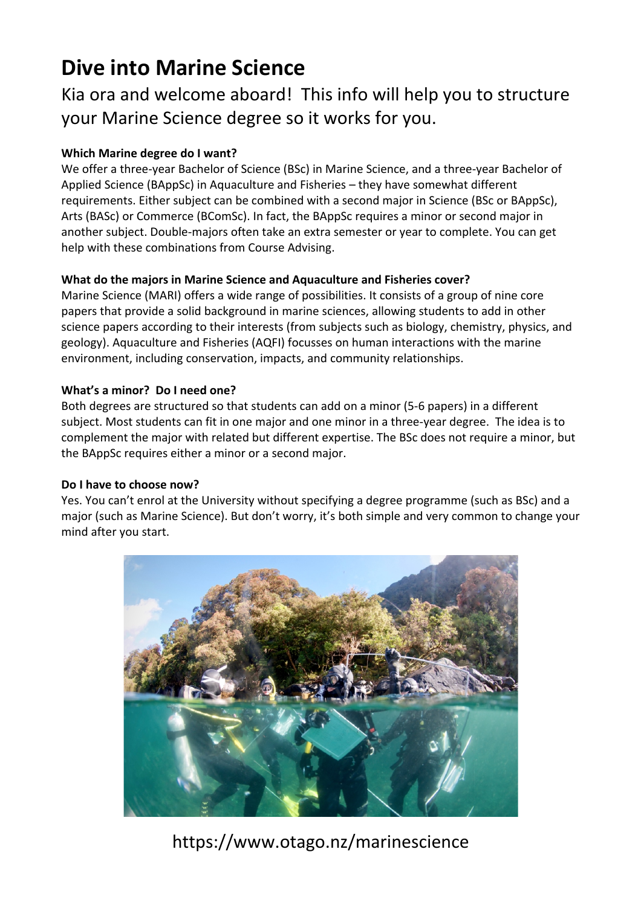# **Dive into Marine Science**

Kia ora and welcome aboard! This info will help you to structure your Marine Science degree so it works for you.

### **Which Marine degree do I want?**

We offer a three-year Bachelor of Science (BSc) in Marine Science, and a three-year Bachelor of Applied Science (BAppSc) in Aquaculture and Fisheries – they have somewhat different requirements. Either subject can be combined with a second major in Science (BSc or BAppSc), Arts (BASc) or Commerce (BComSc). In fact, the BAppSc requires a minor or second major in another subject. Double-majors often take an extra semester or year to complete. You can get help with these combinations from Course Advising.

### **What do the majors in Marine Science and Aquaculture and Fisheries cover?**

Marine Science (MARI) offers a wide range of possibilities. It consists of a group of nine core papers that provide a solid background in marine sciences, allowing students to add in other science papers according to their interests (from subjects such as biology, chemistry, physics, and geology). Aquaculture and Fisheries (AQFI) focusses on human interactions with the marine environment, including conservation, impacts, and community relationships.

### **What's a minor? Do I need one?**

Both degrees are structured so that students can add on a minor (5-6 papers) in a different subject. Most students can fit in one major and one minor in a three-year degree. The idea is to complement the major with related but different expertise. The BSc does not require a minor, but the BAppSc requires either a minor or a second major.

### **Do I have to choose now?**

Yes. You can't enrol at the University without specifying a degree programme (such as BSc) and a major (such as Marine Science). But don't worry, it's both simple and very common to change your mind after you start.



https://www.otago.nz/marinescience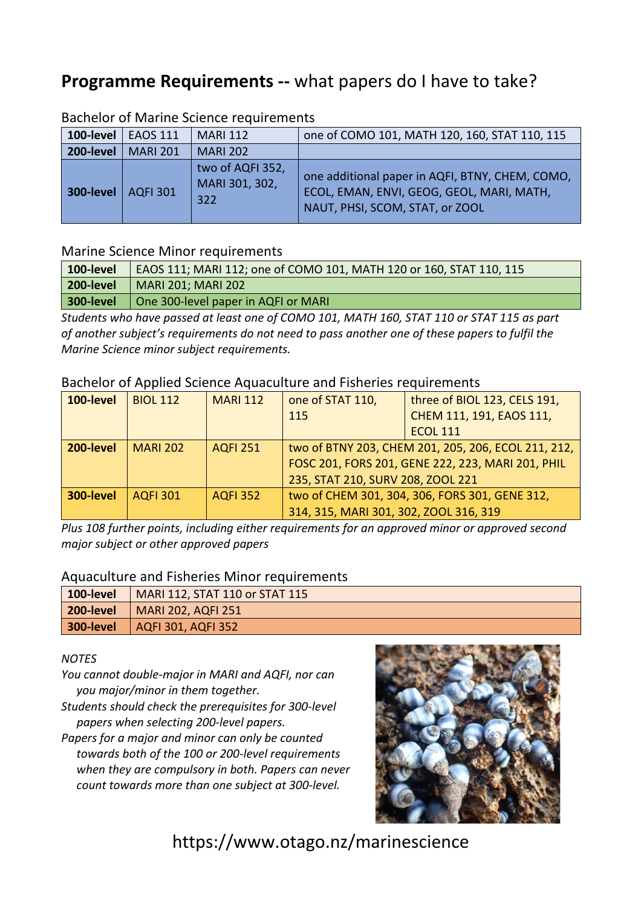# **Programme Requirements --** what papers do I have to take?

| 100-level | <b>EAOS 111</b> | <b>MARI 112</b>                           | one of COMO 101, MATH 120, 160, STAT 110, 115                                                                                   |  |  |  |  |
|-----------|-----------------|-------------------------------------------|---------------------------------------------------------------------------------------------------------------------------------|--|--|--|--|
| 200-level | <b>MARI 201</b> | <b>MARI 202</b>                           |                                                                                                                                 |  |  |  |  |
| 300-level | <b>AQFI 301</b> | two of AQFI 352,<br>MARI 301, 302,<br>322 | one additional paper in AQFI, BTNY, CHEM, COMO,<br>ECOL, EMAN, ENVI, GEOG, GEOL, MARI, MATH,<br>NAUT, PHSI, SCOM, STAT, or ZOOL |  |  |  |  |

### Bachelor of Marine Science requirements

### Marine Science Minor requirements

| 100-level        | EAOS 111; MARI 112; one of COMO 101, MATH 120 or 160, STAT 110, 115 |
|------------------|---------------------------------------------------------------------|
| 200-level        | MARI 201; MARI 202                                                  |
| <b>300-level</b> | One 300-level paper in AQFI or MARI                                 |

*Students who have passed at least one of COMO 101, MATH 160, STAT 110 or STAT 115 as part of another subject's requirements do not need to pass another one of these papers to fulfil the Marine Science minor subject requirements.*

### Bachelor of Applied Science Aquaculture and Fisheries requirements

| 100-level | <b>BIOL 112</b> | <b>MARI 112</b> | one of STAT 110,                                    | three of BIOL 123, CELS 191, |  |  |
|-----------|-----------------|-----------------|-----------------------------------------------------|------------------------------|--|--|
|           |                 |                 | 115                                                 | CHEM 111, 191, EAOS 111,     |  |  |
|           |                 |                 |                                                     | <b>ECOL 111</b>              |  |  |
| 200-level | <b>MARI 202</b> | <b>AQFI 251</b> | two of BTNY 203, CHEM 201, 205, 206, ECOL 211, 212, |                              |  |  |
|           |                 |                 | FOSC 201, FORS 201, GENE 222, 223, MARI 201, PHIL   |                              |  |  |
|           |                 |                 | 235, STAT 210, SURV 208, ZOOL 221                   |                              |  |  |
| 300-level | <b>AQFI 301</b> | <b>AQFI 352</b> | two of CHEM 301, 304, 306, FORS 301, GENE 312,      |                              |  |  |
|           |                 |                 | 314, 315, MARI 301, 302, ZOOL 316, 319              |                              |  |  |

*Plus 108 further points, including either requirements for an approved minor or approved second major subject or other approved papers*

### Aquaculture and Fisheries Minor requirements

| 100-level | MARI 112, STAT 110 or STAT 115 |
|-----------|--------------------------------|
|           | 200-level   MARI 202, AQFI 251 |
|           | 300-level   AQFI 301, AQFI 352 |

#### *NOTES*

*You cannot double-major in MARI and AQFI, nor can you major/minor in them together.*

- *Students should check the prerequisites for 300-level papers when selecting 200-level papers.*
- *Papers for a major and minor can only be counted towards both of the 100 or 200-level requirements when they are compulsory in both. Papers can never count towards more than one subject at 300-level.*



https://www.otago.nz/marinescience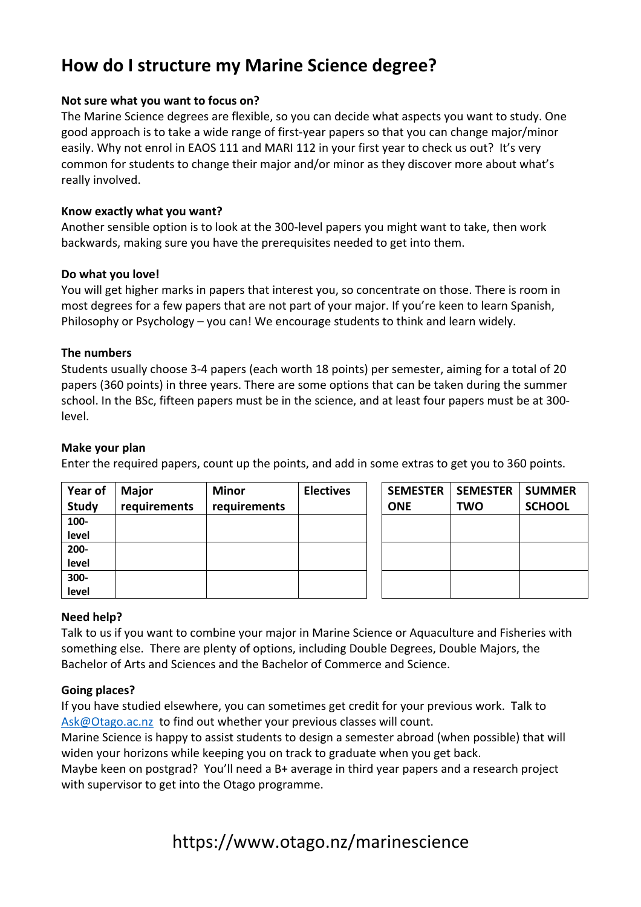# **How do I structure my Marine Science degree?**

### **Not sure what you want to focus on?**

The Marine Science degrees are flexible, so you can decide what aspects you want to study. One good approach is to take a wide range of first-year papers so that you can change major/minor easily. Why not enrol in EAOS 111 and MARI 112 in your first year to check us out? It's very common for students to change their major and/or minor as they discover more about what's really involved.

### **Know exactly what you want?**

Another sensible option is to look at the 300-level papers you might want to take, then work backwards, making sure you have the prerequisites needed to get into them.

### **Do what you love!**

You will get higher marks in papers that interest you, so concentrate on those. There is room in most degrees for a few papers that are not part of your major. If you're keen to learn Spanish, Philosophy or Psychology – you can! We encourage students to think and learn widely.

### **The numbers**

Students usually choose 3-4 papers (each worth 18 points) per semester, aiming for a total of 20 papers (360 points) in three years. There are some options that can be taken during the summer school. In the BSc, fifteen papers must be in the science, and at least four papers must be at 300 level.

### **Make your plan**

Enter the required papers, count up the points, and add in some extras to get you to 360 points.

| Year of<br><b>Study</b> | <b>Major</b><br>requirements | <b>Minor</b><br>requirements | <b>Electives</b> | <b>SEMESTER</b><br><b>ONE</b> | <b>SEMESTER</b><br><b>TWO</b> | <b>SUMMER</b><br><b>SCHOOL</b> |
|-------------------------|------------------------------|------------------------------|------------------|-------------------------------|-------------------------------|--------------------------------|
| 100-                    |                              |                              |                  |                               |                               |                                |
| level                   |                              |                              |                  |                               |                               |                                |
| $200 -$                 |                              |                              |                  |                               |                               |                                |
| level                   |                              |                              |                  |                               |                               |                                |
| $300 -$                 |                              |                              |                  |                               |                               |                                |
| level                   |                              |                              |                  |                               |                               |                                |

### **Need help?**

Talk to us if you want to combine your major in Marine Science or Aquaculture and Fisheries with something else. There are plenty of options, including Double Degrees, Double Majors, the Bachelor of Arts and Sciences and the Bachelor of Commerce and Science.

### **Going places?**

If you have studied elsewhere, you can sometimes get credit for your previous work. Talk to Ask@Otago.ac.nz to find out whether your previous classes will count.

Marine Science is happy to assist students to design a semester abroad (when possible) that will widen your horizons while keeping you on track to graduate when you get back.

Maybe keen on postgrad? You'll need a B+ average in third year papers and a research project with supervisor to get into the Otago programme.